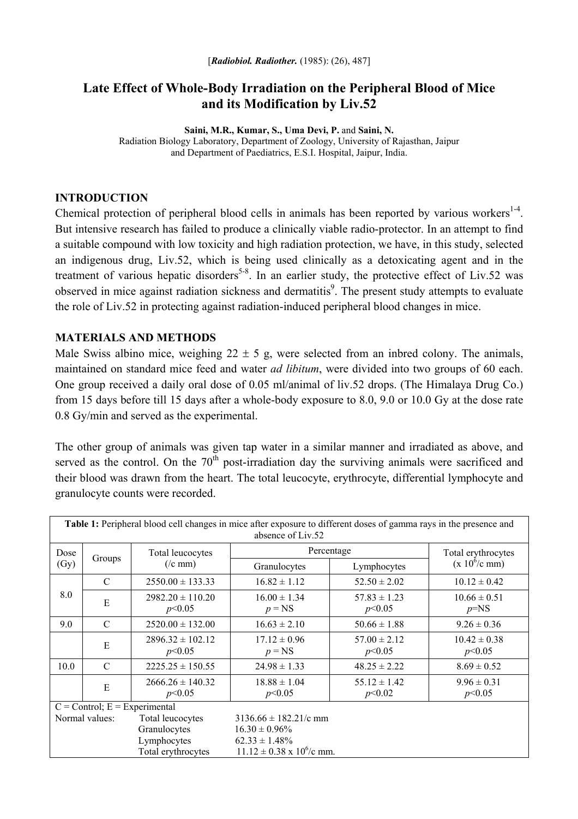# **Late Effect of Whole-Body Irradiation on the Peripheral Blood of Mice and its Modification by Liv.52**

**Saini, M.R., Kumar, S., Uma Devi, P.** and **Saini, N.**  Radiation Biology Laboratory, Department of Zoology, University of Rajasthan, Jaipur and Department of Paediatrics, E.S.I. Hospital, Jaipur, India.

#### **INTRODUCTION**

Chemical protection of peripheral blood cells in animals has been reported by various workers $<sup>1-4</sup>$ .</sup> But intensive research has failed to produce a clinically viable radio-protector. In an attempt to find a suitable compound with low toxicity and high radiation protection, we have, in this study, selected an indigenous drug, Liv.52, which is being used clinically as a detoxicating agent and in the treatment of various hepatic disorders<sup>5-8</sup>. In an earlier study, the protective effect of Liv.52 was observed in mice against radiation sickness and dermatitis<sup>9</sup>. The present study attempts to evaluate the role of Liv.52 in protecting against radiation-induced peripheral blood changes in mice.

### **MATERIALS AND METHODS**

Male Swiss albino mice, weighing  $22 \pm 5$  g, were selected from an inbred colony. The animals, maintained on standard mice feed and water *ad libitum*, were divided into two groups of 60 each. One group received a daily oral dose of 0.05 ml/animal of liv.52 drops. (The Himalaya Drug Co.) from 15 days before till 15 days after a whole-body exposure to 8.0, 9.0 or 10.0 Gy at the dose rate 0.8 Gy/min and served as the experimental.

The other group of animals was given tap water in a similar manner and irradiated as above, and served as the control. On the  $70<sup>th</sup>$  post-irradiation day the surviving animals were sacrificed and their blood was drawn from the heart. The total leucocyte, erythrocyte, differential lymphocyte and granulocyte counts were recorded.

| Table 1: Peripheral blood cell changes in mice after exposure to different doses of gamma rays in the presence and<br>absence of Liv.52 |               |                                   |                                     |                            |                            |
|-----------------------------------------------------------------------------------------------------------------------------------------|---------------|-----------------------------------|-------------------------------------|----------------------------|----------------------------|
| Dose<br>(Gy)                                                                                                                            | Groups        | Total leucocytes<br>$($ /c mm $)$ | Percentage                          |                            | Total erythrocytes         |
|                                                                                                                                         |               |                                   | Granulocytes                        | Lymphocytes                | $(x 10^6/c$ mm)            |
| 8.0                                                                                                                                     | $\mathcal{C}$ | $2550.00 \pm 133.33$              | $16.82 \pm 1.12$                    | $52.50 \pm 2.02$           | $10.12 \pm 0.42$           |
|                                                                                                                                         | E             | $2982.20 \pm 110.20$<br>p<0.05    | $16.00 \pm 1.34$<br>$p = NS$        | $57.83 \pm 1.23$<br>p<0.05 | $10.66 \pm 0.51$<br>$p=NS$ |
| 9.0                                                                                                                                     | $\mathcal{C}$ | $2520.00 \pm 132.00$              | $16.63 \pm 2.10$                    | $50.66 \pm 1.88$           | $9.26 \pm 0.36$            |
|                                                                                                                                         | E             | $2896.32 \pm 102.12$<br>p<0.05    | $17.12 \pm 0.96$<br>$p = NS$        | $57.00 \pm 2.12$<br>p<0.05 | $10.42 \pm 0.38$<br>p<0.05 |
| 10.0                                                                                                                                    | $\mathcal{C}$ | $2225.25 \pm 150.55$              | $24.98 \pm 1.33$                    | $48.25 \pm 2.22$           | $8.69 \pm 0.52$            |
|                                                                                                                                         | E             | $2666.26 \pm 140.32$<br>p<0.05    | $18.88 \pm 1.04$<br>p<0.05          | $55.12 \pm 1.42$<br>p<0.02 | $9.96 \pm 0.31$<br>p<0.05  |
| $C =$ Control; $E =$ Experimental                                                                                                       |               |                                   |                                     |                            |                            |
| Normal values:                                                                                                                          |               | Total leucocytes                  | $3136.66 \pm 182.21/c$ mm           |                            |                            |
|                                                                                                                                         |               | Granulocytes                      | $16.30 \pm 0.96\%$                  |                            |                            |
|                                                                                                                                         |               | Lymphocytes                       | $62.33 \pm 1.48\%$                  |                            |                            |
|                                                                                                                                         |               | Total erythrocytes                | $11.12 \pm 0.38 \times 10^6$ /c mm. |                            |                            |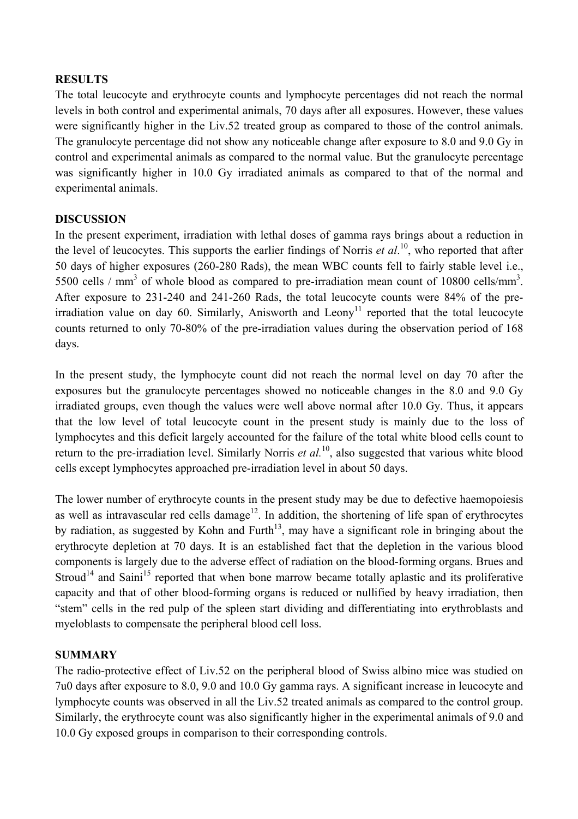### **RESULTS**

The total leucocyte and erythrocyte counts and lymphocyte percentages did not reach the normal levels in both control and experimental animals, 70 days after all exposures. However, these values were significantly higher in the Liv.52 treated group as compared to those of the control animals. The granulocyte percentage did not show any noticeable change after exposure to 8.0 and 9.0 Gy in control and experimental animals as compared to the normal value. But the granulocyte percentage was significantly higher in 10.0 Gy irradiated animals as compared to that of the normal and experimental animals.

## **DISCUSSION**

In the present experiment, irradiation with lethal doses of gamma rays brings about a reduction in the level of leucocytes. This supports the earlier findings of Norris *et al*. 10, who reported that after 50 days of higher exposures (260-280 Rads), the mean WBC counts fell to fairly stable level i.e., 5500 cells / mm<sup>3</sup> of whole blood as compared to pre-irradiation mean count of 10800 cells/mm<sup>3</sup>. After exposure to 231-240 and 241-260 Rads, the total leucocyte counts were 84% of the preirradiation value on day 60. Similarly, Anisworth and Leony<sup>11</sup> reported that the total leucocyte counts returned to only 70-80% of the pre-irradiation values during the observation period of 168 days.

In the present study, the lymphocyte count did not reach the normal level on day 70 after the exposures but the granulocyte percentages showed no noticeable changes in the 8.0 and 9.0 Gy irradiated groups, even though the values were well above normal after 10.0 Gy. Thus, it appears that the low level of total leucocyte count in the present study is mainly due to the loss of lymphocytes and this deficit largely accounted for the failure of the total white blood cells count to return to the pre-irradiation level. Similarly Norris *et al.*<sup>10</sup>, also suggested that various white blood cells except lymphocytes approached pre-irradiation level in about 50 days.

The lower number of erythrocyte counts in the present study may be due to defective haemopoiesis as well as intravascular red cells damage<sup>12</sup>. In addition, the shortening of life span of erythrocytes by radiation, as suggested by Kohn and Furth<sup>13</sup>, may have a significant role in bringing about the erythrocyte depletion at 70 days. It is an established fact that the depletion in the various blood components is largely due to the adverse effect of radiation on the blood-forming organs. Brues and Stroud<sup>14</sup> and Saini<sup>15</sup> reported that when bone marrow became totally aplastic and its proliferative capacity and that of other blood-forming organs is reduced or nullified by heavy irradiation, then "stem" cells in the red pulp of the spleen start dividing and differentiating into erythroblasts and myeloblasts to compensate the peripheral blood cell loss.

#### **SUMMARY**

The radio-protective effect of Liv.52 on the peripheral blood of Swiss albino mice was studied on 7u0 days after exposure to 8.0, 9.0 and 10.0 Gy gamma rays. A significant increase in leucocyte and lymphocyte counts was observed in all the Liv.52 treated animals as compared to the control group. Similarly, the erythrocyte count was also significantly higher in the experimental animals of 9.0 and 10.0 Gy exposed groups in comparison to their corresponding controls.